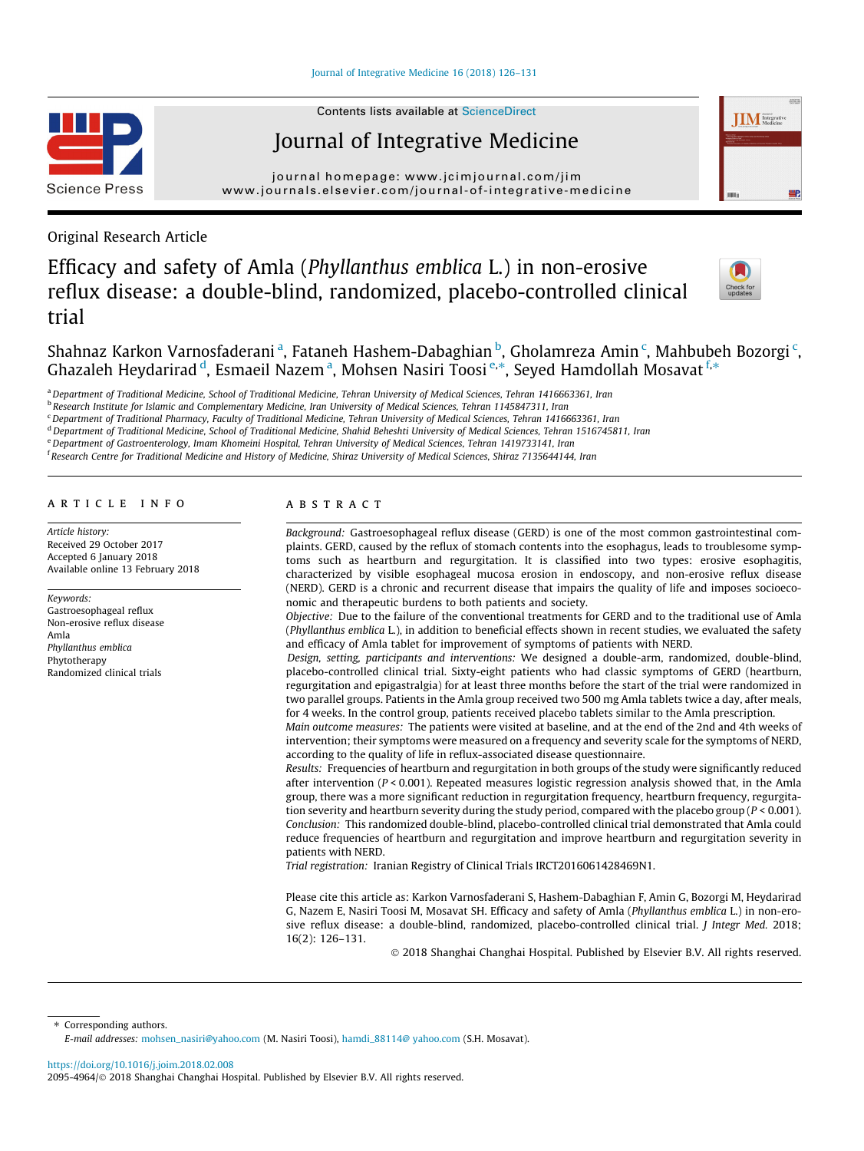

Contents lists available at [ScienceDirect](http://www.sciencedirect.com/science/journal/20954964)

## Journal of Integrative Medicine

journal homepage: [www.jcimjournal.com/jim](http://www.jcimjournal.com/jim) [www.journals.elsevier.com/journal-of-integrative-medicine](http://www.journals.elsevier.com/journal-of-integrative-medicine)



Original Research Article

# Efficacy and safety of Amla (Phyllanthus emblica L.) in non-erosive reflux disease: a double-blind, randomized, placebo-controlled clinical trial



## Shahnaz Karkon Varnosfaderani <sup>a</sup>, Fataneh Hashem-Dabaghian <sup>b</sup>, Gholamreza Amin <sup>c</sup>, Mahbubeh Bozorgi <sup>c</sup>, Ghazaleh Heydarirad <sup>d</sup>, Esmaeil Nazem <sup>a</sup>, Mohsen Nasiri Toosi <sup>e,</sup>\*, Seyed Hamdollah Mosavat <sup>f,</sup>\*

a Department of Traditional Medicine, School of Traditional Medicine, Tehran University of Medical Sciences, Tehran 1416663361, Iran

<sup>b</sup> Research Institute for Islamic and Complementary Medicine, Iran University of Medical Sciences, Tehran 1145847311, Iran

<sup>c</sup> Department of Traditional Pharmacy, Faculty of Traditional Medicine, Tehran University of Medical Sciences, Tehran 1416663361, Iran

<sup>d</sup> Department of Traditional Medicine, School of Traditional Medicine, Shahid Beheshti University of Medical Sciences, Tehran 1516745811, Iran

e Department of Gastroenterology, Imam Khomeini Hospital, Tehran University of Medical Sciences, Tehran 1419733141, Iran

f Research Centre for Traditional Medicine and History of Medicine, Shiraz University of Medical Sciences, Shiraz 7135644144, Iran

#### article info

Article history: Received 29 October 2017 Accepted 6 January 2018 Available online 13 February 2018

Keywords: Gastroesophageal reflux Non-erosive reflux disease Amla Phyllanthus emblica Phytotherapy Randomized clinical trials

## **ABSTRACT**

Background: Gastroesophageal reflux disease (GERD) is one of the most common gastrointestinal complaints. GERD, caused by the reflux of stomach contents into the esophagus, leads to troublesome symptoms such as heartburn and regurgitation. It is classified into two types: erosive esophagitis, characterized by visible esophageal mucosa erosion in endoscopy, and non-erosive reflux disease (NERD). GERD is a chronic and recurrent disease that impairs the quality of life and imposes socioeconomic and therapeutic burdens to both patients and society.

Objective: Due to the failure of the conventional treatments for GERD and to the traditional use of Amla (Phyllanthus emblica L.), in addition to beneficial effects shown in recent studies, we evaluated the safety and efficacy of Amla tablet for improvement of symptoms of patients with NERD.

Design, setting, participants and interventions: We designed a double-arm, randomized, double-blind, placebo-controlled clinical trial. Sixty-eight patients who had classic symptoms of GERD (heartburn, regurgitation and epigastralgia) for at least three months before the start of the trial were randomized in two parallel groups. Patients in the Amla group received two 500 mg Amla tablets twice a day, after meals, for 4 weeks. In the control group, patients received placebo tablets similar to the Amla prescription.

Main outcome measures: The patients were visited at baseline, and at the end of the 2nd and 4th weeks of intervention; their symptoms were measured on a frequency and severity scale for the symptoms of NERD, according to the quality of life in reflux-associated disease questionnaire.

Results: Frequencies of heartburn and regurgitation in both groups of the study were significantly reduced after intervention  $(P < 0.001)$ . Repeated measures logistic regression analysis showed that, in the Amla group, there was a more significant reduction in regurgitation frequency, heartburn frequency, regurgitation severity and heartburn severity during the study period, compared with the placebo group  $(P < 0.001)$ . Conclusion: This randomized double-blind, placebo-controlled clinical trial demonstrated that Amla could reduce frequencies of heartburn and regurgitation and improve heartburn and regurgitation severity in patients with NERD.

Trial registration: Iranian Registry of Clinical Trials IRCT2016061428469N1.

Please cite this article as: Karkon Varnosfaderani S, Hashem-Dabaghian F, Amin G, Bozorgi M, Heydarirad G, Nazem E, Nasiri Toosi M, Mosavat SH. Efficacy and safety of Amla (Phyllanthus emblica L.) in non-erosive reflux disease: a double-blind, randomized, placebo-controlled clinical trial. J Integr Med. 2018; 16(2): 126–131.

2018 Shanghai Changhai Hospital. Published by Elsevier B.V. All rights reserved.

⇑ Corresponding authors.

E-mail addresses: [mohsen\\_nasiri@yahoo.com](mailto:mohsen_nasiri@yahoo.com) (M. Nasiri Toosi), [hamdi\\_88114@ yahoo.com](mailto:hamdi_88114@ yahoo.com) (S.H. Mosavat).

<https://doi.org/10.1016/j.joim.2018.02.008> 2095-4964/ 2018 Shanghai Changhai Hospital. Published by Elsevier B.V. All rights reserved.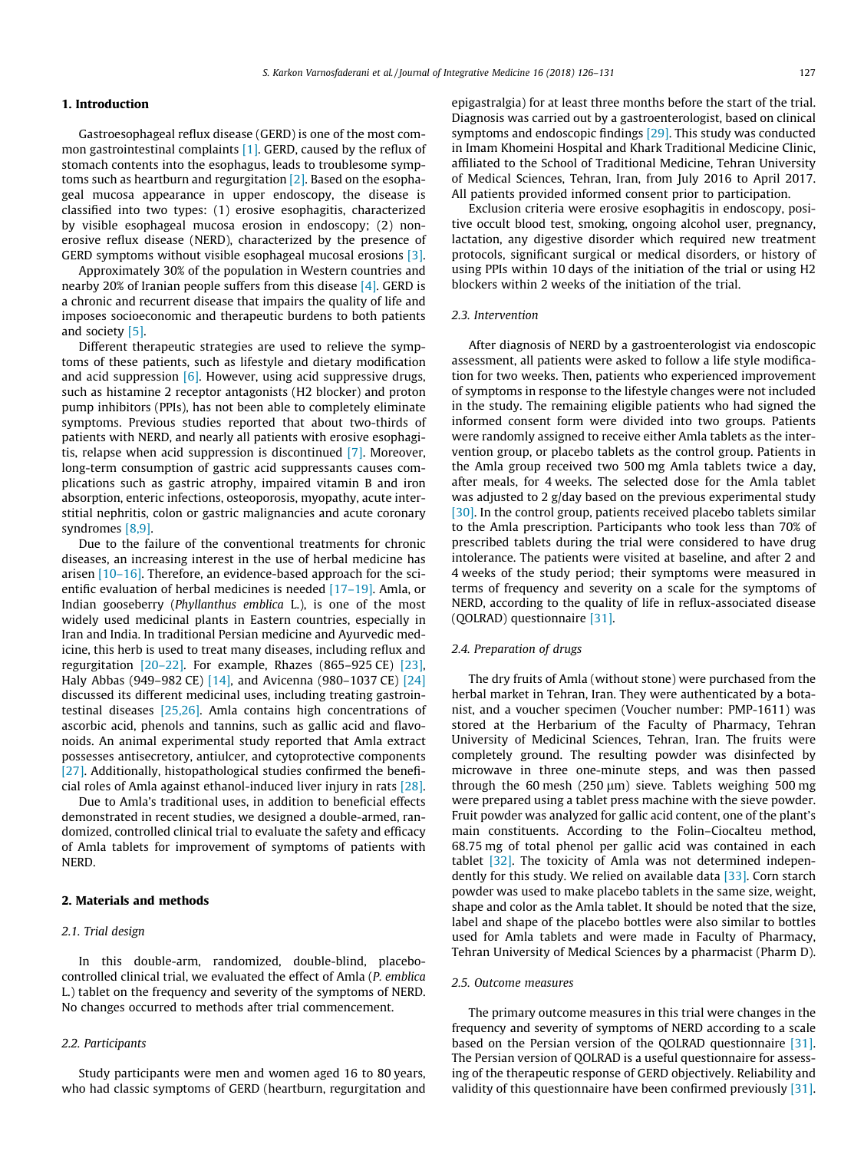#### 1. Introduction

Gastroesophageal reflux disease (GERD) is one of the most common gastrointestinal complaints [\[1\].](#page-4-0) GERD, caused by the reflux of stomach contents into the esophagus, leads to troublesome symptoms such as heartburn and regurgitation [\[2\]](#page-4-0). Based on the esophageal mucosa appearance in upper endoscopy, the disease is classified into two types: (1) erosive esophagitis, characterized by visible esophageal mucosa erosion in endoscopy; (2) nonerosive reflux disease (NERD), characterized by the presence of GERD symptoms without visible esophageal mucosal erosions [\[3\].](#page-4-0)

Approximately 30% of the population in Western countries and nearby 20% of Iranian people suffers from this disease [\[4\]](#page-4-0). GERD is a chronic and recurrent disease that impairs the quality of life and imposes socioeconomic and therapeutic burdens to both patients and society [\[5\]](#page-4-0).

Different therapeutic strategies are used to relieve the symptoms of these patients, such as lifestyle and dietary modification and acid suppression  $[6]$ . However, using acid suppressive drugs, such as histamine 2 receptor antagonists (H2 blocker) and proton pump inhibitors (PPIs), has not been able to completely eliminate symptoms. Previous studies reported that about two-thirds of patients with NERD, and nearly all patients with erosive esophagitis, relapse when acid suppression is discontinued [\[7\]](#page-4-0). Moreover, long-term consumption of gastric acid suppressants causes complications such as gastric atrophy, impaired vitamin B and iron absorption, enteric infections, osteoporosis, myopathy, acute interstitial nephritis, colon or gastric malignancies and acute coronary syndromes [\[8,9\].](#page-4-0)

Due to the failure of the conventional treatments for chronic diseases, an increasing interest in the use of herbal medicine has arisen [\[10–16\].](#page-4-0) Therefore, an evidence-based approach for the scientific evaluation of herbal medicines is needed  $[17-19]$ . Amla, or Indian gooseberry (Phyllanthus emblica L.), is one of the most widely used medicinal plants in Eastern countries, especially in Iran and India. In traditional Persian medicine and Ayurvedic medicine, this herb is used to treat many diseases, including reflux and regurgitation [\[20–22\].](#page-4-0) For example, Rhazes (865–925 CE) [\[23\],](#page-4-0) Haly Abbas (949–982 CE) [\[14\],](#page-4-0) and Avicenna (980–1037 CE) [\[24\]](#page-4-0) discussed its different medicinal uses, including treating gastrointestinal diseases [\[25,26\].](#page-4-0) Amla contains high concentrations of ascorbic acid, phenols and tannins, such as gallic acid and flavonoids. An animal experimental study reported that Amla extract possesses antisecretory, antiulcer, and cytoprotective components [\[27\].](#page-4-0) Additionally, histopathological studies confirmed the beneficial roles of Amla against ethanol-induced liver injury in rats [\[28\].](#page-4-0)

Due to Amla's traditional uses, in addition to beneficial effects demonstrated in recent studies, we designed a double-armed, randomized, controlled clinical trial to evaluate the safety and efficacy of Amla tablets for improvement of symptoms of patients with NERD.

#### 2. Materials and methods

### 2.1. Trial design

In this double-arm, randomized, double-blind, placebocontrolled clinical trial, we evaluated the effect of Amla (P. emblica L.) tablet on the frequency and severity of the symptoms of NERD. No changes occurred to methods after trial commencement.

#### 2.2. Participants

Study participants were men and women aged 16 to 80 years, who had classic symptoms of GERD (heartburn, regurgitation and epigastralgia) for at least three months before the start of the trial. Diagnosis was carried out by a gastroenterologist, based on clinical symptoms and endoscopic findings [\[29\]](#page-4-0). This study was conducted in Imam Khomeini Hospital and Khark Traditional Medicine Clinic, affiliated to the School of Traditional Medicine, Tehran University of Medical Sciences, Tehran, Iran, from July 2016 to April 2017. All patients provided informed consent prior to participation.

Exclusion criteria were erosive esophagitis in endoscopy, positive occult blood test, smoking, ongoing alcohol user, pregnancy, lactation, any digestive disorder which required new treatment protocols, significant surgical or medical disorders, or history of using PPIs within 10 days of the initiation of the trial or using H2 blockers within 2 weeks of the initiation of the trial.

#### 2.3. Intervention

After diagnosis of NERD by a gastroenterologist via endoscopic assessment, all patients were asked to follow a life style modification for two weeks. Then, patients who experienced improvement of symptoms in response to the lifestyle changes were not included in the study. The remaining eligible patients who had signed the informed consent form were divided into two groups. Patients were randomly assigned to receive either Amla tablets as the intervention group, or placebo tablets as the control group. Patients in the Amla group received two 500 mg Amla tablets twice a day, after meals, for 4 weeks. The selected dose for the Amla tablet was adjusted to 2 g/day based on the previous experimental study [\[30\].](#page-4-0) In the control group, patients received placebo tablets similar to the Amla prescription. Participants who took less than 70% of prescribed tablets during the trial were considered to have drug intolerance. The patients were visited at baseline, and after 2 and 4 weeks of the study period; their symptoms were measured in terms of frequency and severity on a scale for the symptoms of NERD, according to the quality of life in reflux-associated disease (QOLRAD) questionnaire [\[31\]](#page-4-0).

#### 2.4. Preparation of drugs

The dry fruits of Amla (without stone) were purchased from the herbal market in Tehran, Iran. They were authenticated by a botanist, and a voucher specimen (Voucher number: PMP-1611) was stored at the Herbarium of the Faculty of Pharmacy, Tehran University of Medicinal Sciences, Tehran, Iran. The fruits were completely ground. The resulting powder was disinfected by microwave in three one-minute steps, and was then passed through the 60 mesh (250  $\mu$ m) sieve. Tablets weighing 500 mg were prepared using a tablet press machine with the sieve powder. Fruit powder was analyzed for gallic acid content, one of the plant's main constituents. According to the Folin–Ciocalteu method, 68.75 mg of total phenol per gallic acid was contained in each tablet [\[32\]](#page-5-0). The toxicity of Amla was not determined independently for this study. We relied on available data [\[33\].](#page-5-0) Corn starch powder was used to make placebo tablets in the same size, weight, shape and color as the Amla tablet. It should be noted that the size, label and shape of the placebo bottles were also similar to bottles used for Amla tablets and were made in Faculty of Pharmacy, Tehran University of Medical Sciences by a pharmacist (Pharm D).

#### 2.5. Outcome measures

The primary outcome measures in this trial were changes in the frequency and severity of symptoms of NERD according to a scale based on the Persian version of the QOLRAD questionnaire [\[31\].](#page-4-0) The Persian version of QOLRAD is a useful questionnaire for assessing of the therapeutic response of GERD objectively. Reliability and validity of this questionnaire have been confirmed previously [\[31\].](#page-4-0)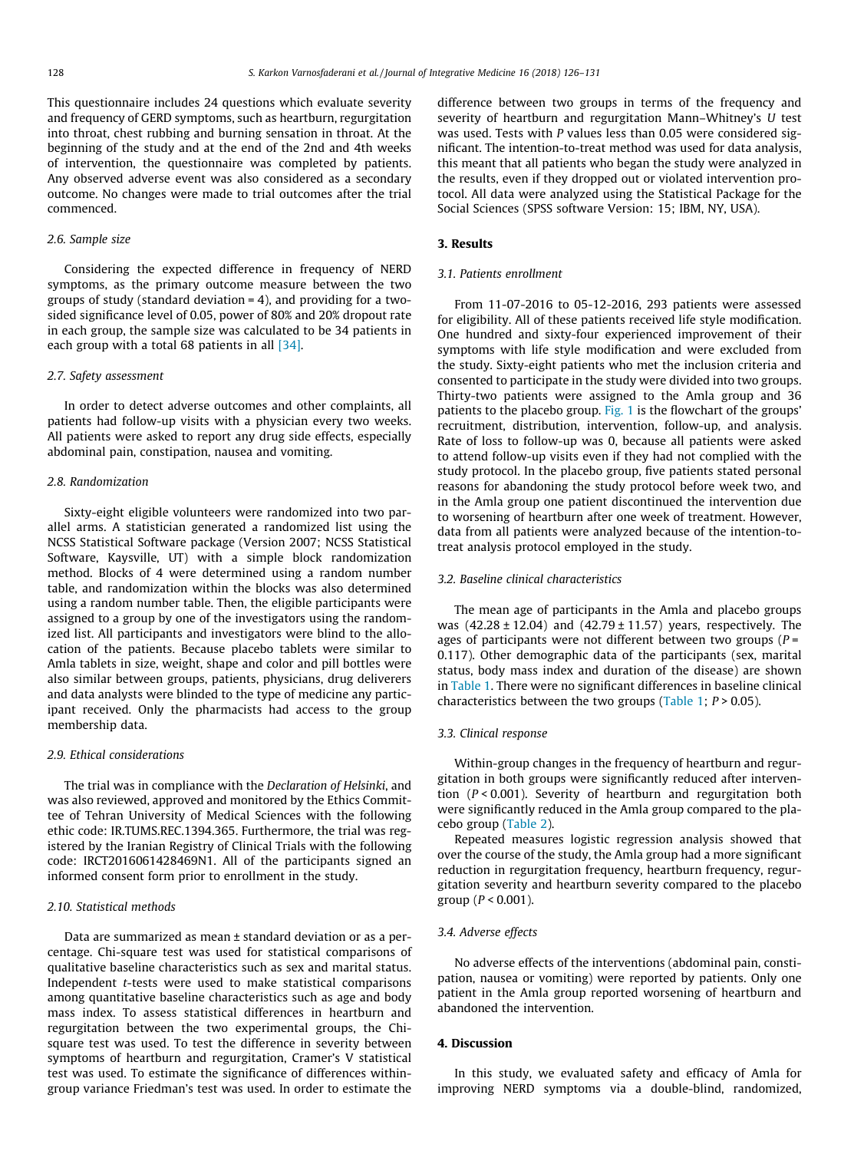This questionnaire includes 24 questions which evaluate severity and frequency of GERD symptoms, such as heartburn, regurgitation into throat, chest rubbing and burning sensation in throat. At the beginning of the study and at the end of the 2nd and 4th weeks of intervention, the questionnaire was completed by patients. Any observed adverse event was also considered as a secondary outcome. No changes were made to trial outcomes after the trial commenced.

## 2.6. Sample size

Considering the expected difference in frequency of NERD symptoms, as the primary outcome measure between the two groups of study (standard deviation = 4), and providing for a twosided significance level of 0.05, power of 80% and 20% dropout rate in each group, the sample size was calculated to be 34 patients in each group with a total 68 patients in all [\[34\]](#page-5-0).

#### 2.7. Safety assessment

In order to detect adverse outcomes and other complaints, all patients had follow-up visits with a physician every two weeks. All patients were asked to report any drug side effects, especially abdominal pain, constipation, nausea and vomiting.

#### 2.8. Randomization

Sixty-eight eligible volunteers were randomized into two parallel arms. A statistician generated a randomized list using the NCSS Statistical Software package (Version 2007; NCSS Statistical Software, Kaysville, UT) with a simple block randomization method. Blocks of 4 were determined using a random number table, and randomization within the blocks was also determined using a random number table. Then, the eligible participants were assigned to a group by one of the investigators using the randomized list. All participants and investigators were blind to the allocation of the patients. Because placebo tablets were similar to Amla tablets in size, weight, shape and color and pill bottles were also similar between groups, patients, physicians, drug deliverers and data analysts were blinded to the type of medicine any participant received. Only the pharmacists had access to the group membership data.

#### 2.9. Ethical considerations

The trial was in compliance with the Declaration of Helsinki, and was also reviewed, approved and monitored by the Ethics Committee of Tehran University of Medical Sciences with the following ethic code: IR.TUMS.REC.1394.365. Furthermore, the trial was registered by the Iranian Registry of Clinical Trials with the following code: IRCT2016061428469N1. All of the participants signed an informed consent form prior to enrollment in the study.

## 2.10. Statistical methods

Data are summarized as mean ± standard deviation or as a percentage. Chi-square test was used for statistical comparisons of qualitative baseline characteristics such as sex and marital status. Independent t-tests were used to make statistical comparisons among quantitative baseline characteristics such as age and body mass index. To assess statistical differences in heartburn and regurgitation between the two experimental groups, the Chisquare test was used. To test the difference in severity between symptoms of heartburn and regurgitation, Cramer's V statistical test was used. To estimate the significance of differences withingroup variance Friedman's test was used. In order to estimate the difference between two groups in terms of the frequency and severity of heartburn and regurgitation Mann–Whitney's U test was used. Tests with P values less than 0.05 were considered significant. The intention-to-treat method was used for data analysis, this meant that all patients who began the study were analyzed in the results, even if they dropped out or violated intervention protocol. All data were analyzed using the Statistical Package for the Social Sciences (SPSS software Version: 15; IBM, NY, USA).

### 3. Results

#### 3.1. Patients enrollment

From 11-07-2016 to 05-12-2016, 293 patients were assessed for eligibility. All of these patients received life style modification. One hundred and sixty-four experienced improvement of their symptoms with life style modification and were excluded from the study. Sixty-eight patients who met the inclusion criteria and consented to participate in the study were divided into two groups. Thirty-two patients were assigned to the Amla group and 36 patients to the placebo group. [Fig. 1](#page-3-0) is the flowchart of the groups' recruitment, distribution, intervention, follow-up, and analysis. Rate of loss to follow-up was 0, because all patients were asked to attend follow-up visits even if they had not complied with the study protocol. In the placebo group, five patients stated personal reasons for abandoning the study protocol before week two, and in the Amla group one patient discontinued the intervention due to worsening of heartburn after one week of treatment. However, data from all patients were analyzed because of the intention-totreat analysis protocol employed in the study.

## 3.2. Baseline clinical characteristics

The mean age of participants in the Amla and placebo groups was  $(42.28 \pm 12.04)$  and  $(42.79 \pm 11.57)$  years, respectively. The ages of participants were not different between two groups  $(P =$ 0.117). Other demographic data of the participants (sex, marital status, body mass index and duration of the disease) are shown in [Table 1](#page-3-0). There were no significant differences in baseline clinical characteristics between the two groups ([Table 1](#page-3-0);  $P > 0.05$ ).

## 3.3. Clinical response

Within-group changes in the frequency of heartburn and regurgitation in both groups were significantly reduced after intervention  $(P < 0.001)$ . Severity of heartburn and regurgitation both were significantly reduced in the Amla group compared to the placebo group ([Table 2](#page-3-0)).

Repeated measures logistic regression analysis showed that over the course of the study, the Amla group had a more significant reduction in regurgitation frequency, heartburn frequency, regurgitation severity and heartburn severity compared to the placebo group ( $P < 0.001$ ).

#### 3.4. Adverse effects

No adverse effects of the interventions (abdominal pain, constipation, nausea or vomiting) were reported by patients. Only one patient in the Amla group reported worsening of heartburn and abandoned the intervention.

#### 4. Discussion

In this study, we evaluated safety and efficacy of Amla for improving NERD symptoms via a double-blind, randomized,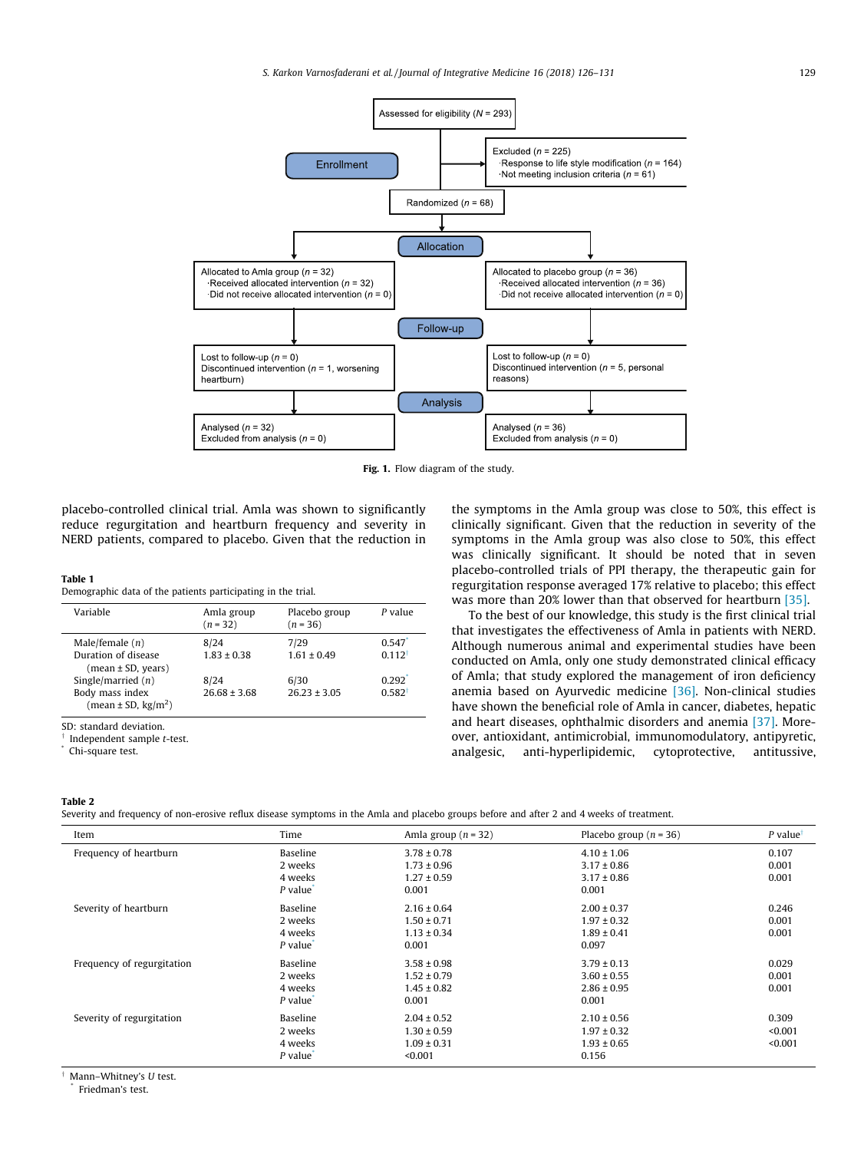<span id="page-3-0"></span>

Fig. 1. Flow diagram of the study.

placebo-controlled clinical trial. Amla was shown to significantly reduce regurgitation and heartburn frequency and severity in NERD patients, compared to placebo. Given that the reduction in

#### Table 1

Demographic data of the patients participating in the trial.

| Variable                            | Amla group<br>$(n = 32)$ | Placebo group<br>$(n = 36)$ | P value           |
|-------------------------------------|--------------------------|-----------------------------|-------------------|
| Male/female $(n)$                   | 8/24                     | 7/29                        | 0.547             |
| Duration of disease                 | $1.83 \pm 0.38$          | $1.61 \pm 0.49$             | $0.112^{\dagger}$ |
| $(mean \pm SD, \text{years})$       |                          |                             |                   |
| Single/married $(n)$                | 8/24                     | 6/30                        | 0.292             |
| Body mass index                     | $26.68 \pm 3.68$         | $26.23 \pm 3.05$            | $0.582^{\dagger}$ |
| (mean $\pm$ SD, kg/m <sup>2</sup> ) |                          |                             |                   |

SD: standard deviation.

 $\dagger$  Independent sample t-test.

Chi-square test.

the symptoms in the Amla group was close to 50%, this effect is clinically significant. Given that the reduction in severity of the symptoms in the Amla group was also close to 50%, this effect was clinically significant. It should be noted that in seven placebo-controlled trials of PPI therapy, the therapeutic gain for regurgitation response averaged 17% relative to placebo; this effect was more than 20% lower than that observed for heartburn [\[35\].](#page-5-0) To the best of our knowledge, this study is the first clinical trial

that investigates the effectiveness of Amla in patients with NERD. Although numerous animal and experimental studies have been conducted on Amla, only one study demonstrated clinical efficacy of Amla; that study explored the management of iron deficiency anemia based on Ayurvedic medicine [\[36\].](#page-5-0) Non-clinical studies have shown the beneficial role of Amla in cancer, diabetes, hepatic and heart diseases, ophthalmic disorders and anemia [\[37\].](#page-5-0) Moreover, antioxidant, antimicrobial, immunomodulatory, antipyretic, analgesic, anti-hyperlipidemic, cytoprotective, antitussive,

Table 2

Severity and frequency of non-erosive reflux disease symptoms in the Amla and placebo groups before and after 2 and 4 weeks of treatment.

| Item                       | Time      | Amla group $(n = 32)$ | Placebo group $(n = 36)$ | P value <sup><math>\dagger</math></sup> |
|----------------------------|-----------|-----------------------|--------------------------|-----------------------------------------|
| Frequency of heartburn     | Baseline  | $3.78 \pm 0.78$       | $4.10 \pm 1.06$          | 0.107                                   |
|                            | 2 weeks   | $1.73 \pm 0.96$       | $3.17 \pm 0.86$          | 0.001                                   |
|                            | 4 weeks   | $1.27 \pm 0.59$       | $3.17 \pm 0.86$          | 0.001                                   |
|                            | $P$ value | 0.001                 | 0.001                    |                                         |
| Severity of heartburn      | Baseline  | $2.16 \pm 0.64$       | $2.00 \pm 0.37$          | 0.246                                   |
|                            | 2 weeks   | $1.50 \pm 0.71$       | $1.97 \pm 0.32$          | 0.001                                   |
|                            | 4 weeks   | $1.13 \pm 0.34$       | $1.89 \pm 0.41$          | 0.001                                   |
|                            | $P$ value | 0.001                 | 0.097                    |                                         |
| Frequency of regurgitation | Baseline  | $3.58 \pm 0.98$       | $3.79 \pm 0.13$          | 0.029                                   |
|                            | 2 weeks   | $1.52 \pm 0.79$       | $3.60 \pm 0.55$          | 0.001                                   |
|                            | 4 weeks   | $1.45 \pm 0.82$       | $2.86 \pm 0.95$          | 0.001                                   |
|                            | $P$ value | 0.001                 | 0.001                    |                                         |
| Severity of regurgitation  | Baseline  | $2.04 \pm 0.52$       | $2.10 \pm 0.56$          | 0.309                                   |
|                            | 2 weeks   | $1.30 \pm 0.59$       | $1.97 \pm 0.32$          | < 0.001                                 |
|                            | 4 weeks   | $1.09 \pm 0.31$       | $1.93 \pm 0.65$          | < 0.001                                 |
|                            | $P$ value | < 0.001               | 0.156                    |                                         |

 $\dagger$  Mann–Whitney's U test.

Friedman's test.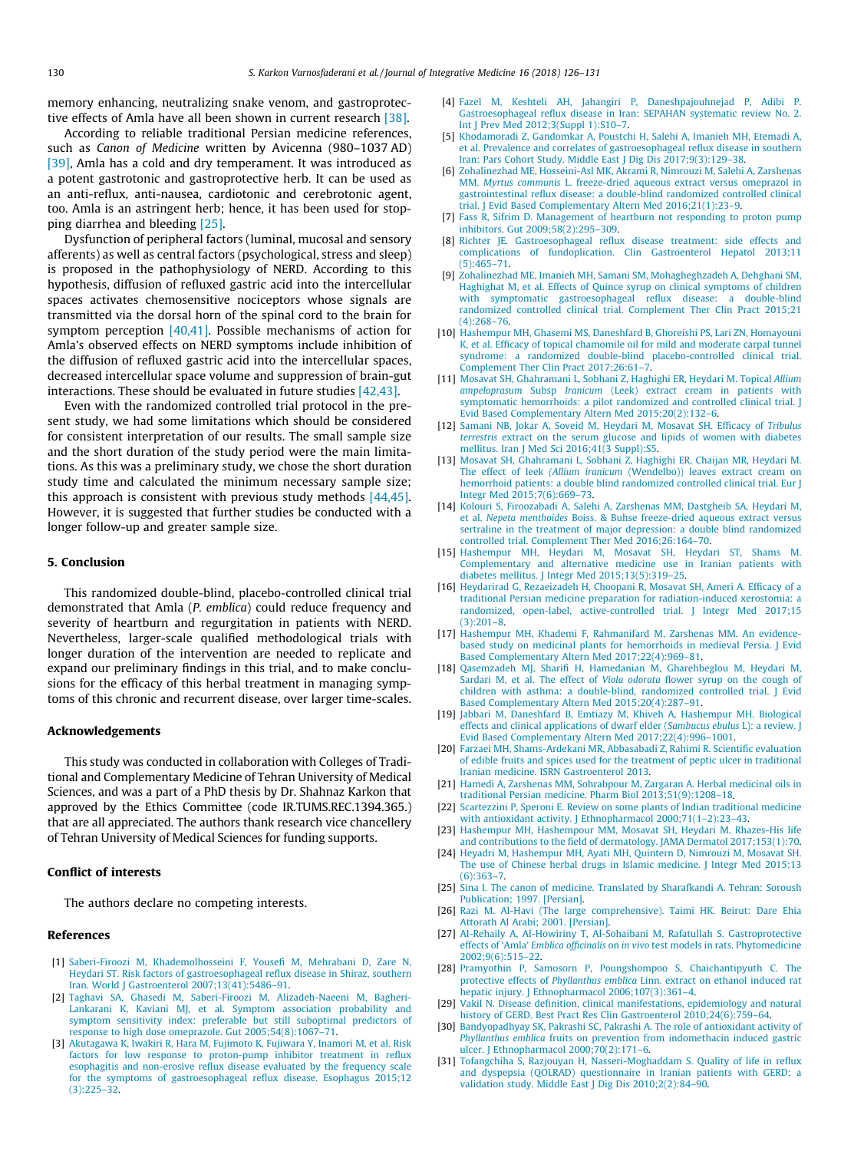<span id="page-4-0"></span>memory enhancing, neutralizing snake venom, and gastroprotective effects of Amla have all been shown in current research [\[38\].](#page-5-0)

According to reliable traditional Persian medicine references, such as Canon of Medicine written by Avicenna (980–1037 AD) [\[39\]](#page-5-0), Amla has a cold and dry temperament. It was introduced as a potent gastrotonic and gastroprotective herb. It can be used as an anti-reflux, anti-nausea, cardiotonic and cerebrotonic agent, too. Amla is an astringent herb; hence, it has been used for stopping diarrhea and bleeding [25].

Dysfunction of peripheral factors (luminal, mucosal and sensory afferents) as well as central factors (psychological, stress and sleep) is proposed in the pathophysiology of NERD. According to this hypothesis, diffusion of refluxed gastric acid into the intercellular spaces activates chemosensitive nociceptors whose signals are transmitted via the dorsal horn of the spinal cord to the brain for symptom perception [\[40,41\].](#page-5-0) Possible mechanisms of action for Amla's observed effects on NERD symptoms include inhibition of the diffusion of refluxed gastric acid into the intercellular spaces, decreased intercellular space volume and suppression of brain-gut interactions. These should be evaluated in future studies [\[42,43\]](#page-5-0).

Even with the randomized controlled trial protocol in the present study, we had some limitations which should be considered for consistent interpretation of our results. The small sample size and the short duration of the study period were the main limitations. As this was a preliminary study, we chose the short duration study time and calculated the minimum necessary sample size; this approach is consistent with previous study methods  $[44,45]$ . However, it is suggested that further studies be conducted with a longer follow-up and greater sample size.

#### 5. Conclusion

This randomized double-blind, placebo-controlled clinical trial demonstrated that Amla (P. emblica) could reduce frequency and severity of heartburn and regurgitation in patients with NERD. Nevertheless, larger-scale qualified methodological trials with longer duration of the intervention are needed to replicate and expand our preliminary findings in this trial, and to make conclusions for the efficacy of this herbal treatment in managing symptoms of this chronic and recurrent disease, over larger time-scales.

#### Acknowledgements

This study was conducted in collaboration with Colleges of Traditional and Complementary Medicine of Tehran University of Medical Sciences, and was a part of a PhD thesis by Dr. Shahnaz Karkon that approved by the Ethics Committee (code IR.TUMS.REC.1394.365.) that are all appreciated. The authors thank research vice chancellery of Tehran University of Medical Sciences for funding supports.

## Conflict of interests

The authors declare no competing interests.

#### References

- [1] [Saberi-Firoozi M, Khademolhosseini F, Yousefi M, Mehrabani D, Zare N,](http://refhub.elsevier.com/S2095-4964(18)30023-2/h0005) [Heydari ST. Risk factors of gastroesophageal reflux disease in Shiraz, southern](http://refhub.elsevier.com/S2095-4964(18)30023-2/h0005) [Iran. World J Gastroenterol 2007;13\(41\):5486–91.](http://refhub.elsevier.com/S2095-4964(18)30023-2/h0005)
- [2] [Taghavi SA, Ghasedi M, Saberi-Firoozi M, Alizadeh-Naeeni M, Bagheri-](http://refhub.elsevier.com/S2095-4964(18)30023-2/h0010)[Lankarani K, Kaviani MJ, et al. Symptom association probability and](http://refhub.elsevier.com/S2095-4964(18)30023-2/h0010) [symptom sensitivity index: preferable but still suboptimal predictors of](http://refhub.elsevier.com/S2095-4964(18)30023-2/h0010) [response to high dose omeprazole. Gut 2005;54\(8\):1067–71.](http://refhub.elsevier.com/S2095-4964(18)30023-2/h0010)
- [3] [Akutagawa K, Iwakiri R, Hara M, Fujimoto K, Fujiwara Y, Inamori M, et al. Risk](http://refhub.elsevier.com/S2095-4964(18)30023-2/h0015) [factors for low response to proton-pump inhibitor treatment in reflux](http://refhub.elsevier.com/S2095-4964(18)30023-2/h0015) [esophagitis and non-erosive reflux disease evaluated by the frequency scale](http://refhub.elsevier.com/S2095-4964(18)30023-2/h0015) [for the symptoms of gastroesophageal reflux disease. Esophagus 2015;12](http://refhub.elsevier.com/S2095-4964(18)30023-2/h0015) [\(3\):225–32.](http://refhub.elsevier.com/S2095-4964(18)30023-2/h0015)
- [4] [Fazel M, Keshteli AH, Jahangiri P, Daneshpajouhnejad P, Adibi P.](http://refhub.elsevier.com/S2095-4964(18)30023-2/h0020) [Gastroesophageal reflux disease in Iran: SEPAHAN systematic review No. 2.](http://refhub.elsevier.com/S2095-4964(18)30023-2/h0020) [Int J Prev Med 2012;3\(Suppl 1\):S10–7.](http://refhub.elsevier.com/S2095-4964(18)30023-2/h0020)
- [5] [Khodamoradi Z, Gandomkar A, Poustchi H, Salehi A, Imanieh MH, Etemadi A,](http://refhub.elsevier.com/S2095-4964(18)30023-2/h0025) [et al. Prevalence and correlates of gastroesophageal reflux disease in southern](http://refhub.elsevier.com/S2095-4964(18)30023-2/h0025) [Iran: Pars Cohort Study. Middle East J Dig Dis 2017;9\(3\):129–38.](http://refhub.elsevier.com/S2095-4964(18)30023-2/h0025)
- [6] [Zohalinezhad ME, Hosseini-Asl MK, Akrami R, Nimrouzi M, Salehi A, Zarshenas](http://refhub.elsevier.com/S2095-4964(18)30023-2/h0030) MM. Myrtus communis [L. freeze-dried aqueous extract versus omeprazol in](http://refhub.elsevier.com/S2095-4964(18)30023-2/h0030) [gastrointestinal reflux disease: a double-blind randomized controlled clinical](http://refhub.elsevier.com/S2095-4964(18)30023-2/h0030) [trial. J Evid Based Complementary Altern Med 2016;21\(1\):23–9](http://refhub.elsevier.com/S2095-4964(18)30023-2/h0030).
- [7] [Fass R, Sifrim D. Management of heartburn not responding to proton pump](http://refhub.elsevier.com/S2095-4964(18)30023-2/h0035) [inhibitors. Gut 2009;58\(2\):295–309.](http://refhub.elsevier.com/S2095-4964(18)30023-2/h0035)
- [8] [Richter JE. Gastroesophageal reflux disease treatment: side effects and](http://refhub.elsevier.com/S2095-4964(18)30023-2/h0040) [complications of fundoplication. Clin Gastroenterol Hepatol 2013;11](http://refhub.elsevier.com/S2095-4964(18)30023-2/h0040) [\(5\):465–71.](http://refhub.elsevier.com/S2095-4964(18)30023-2/h0040)
- [9] [Zohalinezhad ME, Imanieh MH, Samani SM, Mohagheghzadeh A, Dehghani SM,](http://refhub.elsevier.com/S2095-4964(18)30023-2/h0045) [Haghighat M, et al. Effects of Quince syrup on clinical symptoms of children](http://refhub.elsevier.com/S2095-4964(18)30023-2/h0045) with symptomatic gastroesophageal reflux disease: [randomized controlled clinical trial. Complement Ther Clin Pract 2015;21](http://refhub.elsevier.com/S2095-4964(18)30023-2/h0045) [\(4\):268–76.](http://refhub.elsevier.com/S2095-4964(18)30023-2/h0045)
- [10] [Hashempur MH, Ghasemi MS, Daneshfard B, Ghoreishi PS, Lari ZN, Homayouni](http://refhub.elsevier.com/S2095-4964(18)30023-2/h0050) [K, et al. Efficacy of topical chamomile oil for mild and moderate carpal tunnel](http://refhub.elsevier.com/S2095-4964(18)30023-2/h0050) [syndrome: a randomized double-blind placebo-controlled clinical trial.](http://refhub.elsevier.com/S2095-4964(18)30023-2/h0050) [Complement Ther Clin Pract 2017;26:61–7](http://refhub.elsevier.com/S2095-4964(18)30023-2/h0050).
- [11] [Mosavat SH, Ghahramani L, Sobhani Z, Haghighi ER, Heydari M. Topical](http://refhub.elsevier.com/S2095-4964(18)30023-2/h0055) Allium ampeloprasum Subsp Iranicum [\(Leek\) extract cream in patients with](http://refhub.elsevier.com/S2095-4964(18)30023-2/h0055) [symptomatic hemorrhoids: a pilot randomized and controlled clinical trial. J](http://refhub.elsevier.com/S2095-4964(18)30023-2/h0055) [Evid Based Complementary Altern Med 2015;20\(2\):132–6](http://refhub.elsevier.com/S2095-4964(18)30023-2/h0055).
- [12] [Samani NB, Jokar A, Soveid M, Heydari M, Mosavat SH. Efficacy of](http://refhub.elsevier.com/S2095-4964(18)30023-2/h0060) Tribulus terrestris [extract on the serum glucose and lipids of women with diabetes](http://refhub.elsevier.com/S2095-4964(18)30023-2/h0060) [mellitus. Iran J Med Sci 2016;41\(3 Suppl\):S5.](http://refhub.elsevier.com/S2095-4964(18)30023-2/h0060)
- [13] [Mosavat SH, Ghahramani L, Sobhani Z, Haghighi ER, Chaijan MR, Heydari M.](http://refhub.elsevier.com/S2095-4964(18)30023-2/h0065) The effect of leek (Allium iranicum [\(Wendelbo\)\) leaves extract cream on](http://refhub.elsevier.com/S2095-4964(18)30023-2/h0065) [hemorrhoid patients: a double blind randomized controlled clinical trial. Eur J](http://refhub.elsevier.com/S2095-4964(18)30023-2/h0065) [Integr Med 2015;7\(6\):669–73](http://refhub.elsevier.com/S2095-4964(18)30023-2/h0065).
- [14] [Kolouri S, Firoozabadi A, Salehi A, Zarshenas MM, Dastgheib SA, Heydari M,](http://refhub.elsevier.com/S2095-4964(18)30023-2/h0070) et al. Nepeta menthoides [Boiss. & Buhse freeze-dried aqueous extract versus](http://refhub.elsevier.com/S2095-4964(18)30023-2/h0070) [sertraline in the treatment of major depression: a double blind randomized](http://refhub.elsevier.com/S2095-4964(18)30023-2/h0070) [controlled trial. Complement Ther Med 2016;26:164–70](http://refhub.elsevier.com/S2095-4964(18)30023-2/h0070).
- [15] [Hashempur MH, Heydari M, Mosavat SH, Heydari ST, Shams M.](http://refhub.elsevier.com/S2095-4964(18)30023-2/h0075) [Complementary and alternative medicine use in Iranian patients with](http://refhub.elsevier.com/S2095-4964(18)30023-2/h0075) [diabetes mellitus. J Integr Med 2015;13\(5\):319–25](http://refhub.elsevier.com/S2095-4964(18)30023-2/h0075).
- [16] [Heydarirad G, Rezaeizadeh H, Choopani R, Mosavat SH, Ameri A. Efficacy of a](http://refhub.elsevier.com/S2095-4964(18)30023-2/h0080) [traditional Persian medicine preparation for radiation-induced xerostomia: a](http://refhub.elsevier.com/S2095-4964(18)30023-2/h0080) [randomized, open-label, active-controlled trial. J Integr Med 2017;15](http://refhub.elsevier.com/S2095-4964(18)30023-2/h0080) [\(3\):201–8](http://refhub.elsevier.com/S2095-4964(18)30023-2/h0080).
- [17] [Hashempur MH, Khademi F, Rahmanifard M, Zarshenas MM. An evidence](http://refhub.elsevier.com/S2095-4964(18)30023-2/h0085)[based study on medicinal plants for hemorrhoids in medieval Persia. J Evid](http://refhub.elsevier.com/S2095-4964(18)30023-2/h0085) [Based Complementary Altern Med 2017;22\(4\):969–81](http://refhub.elsevier.com/S2095-4964(18)30023-2/h0085).
- [18] [Qasemzadeh MJ, Sharifi H, Hamedanian M, Gharehbeglou M, Heydari M,](http://refhub.elsevier.com/S2095-4964(18)30023-2/h0090) [Sardari M, et al. The effect of](http://refhub.elsevier.com/S2095-4964(18)30023-2/h0090) Viola odorata flower syrup on the cough of [children with asthma: a double-blind, randomized controlled trial. J Evid](http://refhub.elsevier.com/S2095-4964(18)30023-2/h0090) [Based Complementary Altern Med 2015;20\(4\):287–91](http://refhub.elsevier.com/S2095-4964(18)30023-2/h0090).
- [19] [Jabbari M, Daneshfard B, Emtiazy M, Khiveh A, Hashempur MH. Biological](http://refhub.elsevier.com/S2095-4964(18)30023-2/h0095) [effects and clinical applications of dwarf elder \(](http://refhub.elsevier.com/S2095-4964(18)30023-2/h0095)Sambucus ebulus L): a review. J [Evid Based Complementary Altern Med 2017;22\(4\):996–1001.](http://refhub.elsevier.com/S2095-4964(18)30023-2/h0095)
- [20] [Farzaei MH, Shams-Ardekani MR, Abbasabadi Z, Rahimi R. Scientific evaluation](http://refhub.elsevier.com/S2095-4964(18)30023-2/h0100) [of edible fruits and spices used for the treatment of peptic ulcer in traditional](http://refhub.elsevier.com/S2095-4964(18)30023-2/h0100) [Iranian medicine. ISRN Gastroenterol 2013](http://refhub.elsevier.com/S2095-4964(18)30023-2/h0100).
- [21] [Hamedi A, Zarshenas MM, Sohrabpour M, Zargaran A. Herbal medicinal oils in](http://refhub.elsevier.com/S2095-4964(18)30023-2/h0105) [traditional Persian medicine. Pharm Biol 2013;51\(9\):1208–18](http://refhub.elsevier.com/S2095-4964(18)30023-2/h0105).
- [22] [Scartezzini P, Speroni E. Review on some plants of Indian traditional medicine](http://refhub.elsevier.com/S2095-4964(18)30023-2/h0110) [with antioxidant activity. J Ethnopharmacol 2000;71\(1–2\):23–43](http://refhub.elsevier.com/S2095-4964(18)30023-2/h0110).
- [23] [Hashempur MH, Hashempour MM, Mosavat SH, Heydari M. Rhazes-His life](http://refhub.elsevier.com/S2095-4964(18)30023-2/h0115) [and contributions to the field of dermatology. JAMA Dermatol 2017;153\(1\):70](http://refhub.elsevier.com/S2095-4964(18)30023-2/h0115).
- [24] [Heyadri M, Hashempur MH, Ayati MH, Quintern D, Nimrouzi M, Mosavat SH.](http://refhub.elsevier.com/S2095-4964(18)30023-2/h0120) [The use of Chinese herbal drugs in Islamic medicine. J Integr Med 2015;13](http://refhub.elsevier.com/S2095-4964(18)30023-2/h0120) [\(6\):363–7](http://refhub.elsevier.com/S2095-4964(18)30023-2/h0120).
- [25] [Sina I. The canon of medicine. Translated by Sharafkandi A. Tehran: Soroush](http://refhub.elsevier.com/S2095-4964(18)30023-2/h0125) [Publication; 1997. \[Persian\]](http://refhub.elsevier.com/S2095-4964(18)30023-2/h0125).
- [26] [Razi M. Al-Havi \(The large comprehensive\). Taimi HK. Beirut: Dare Ehia](http://refhub.elsevier.com/S2095-4964(18)30023-2/h0130) [Attorath Al Arabi; 2001. \[Persian\]](http://refhub.elsevier.com/S2095-4964(18)30023-2/h0130).
- [27] [Al-Rehaily A, Al-Howiriny T, Al-Sohaibani M, Rafatullah S. Gastroprotective](http://refhub.elsevier.com/S2095-4964(18)30023-2/h0135) effects of 'Amla' Emblica officinalis on in vivo [test models in rats. Phytomedicine](http://refhub.elsevier.com/S2095-4964(18)30023-2/h0135) [2002;9\(6\):515–22](http://refhub.elsevier.com/S2095-4964(18)30023-2/h0135).
- [28] [Pramyothin P, Samosorn P, Poungshompoo S, Chaichantipyuth C. The](http://refhub.elsevier.com/S2095-4964(18)30023-2/h0140) protective effects of Phyllanthus emblica [Linn. extract on ethanol induced rat](http://refhub.elsevier.com/S2095-4964(18)30023-2/h0140) [hepatic injury. J Ethnopharmacol 2006;107\(3\):361–4.](http://refhub.elsevier.com/S2095-4964(18)30023-2/h0140)
- [29] [Vakil N. Disease definition, clinical manifestations, epidemiology and natural](http://refhub.elsevier.com/S2095-4964(18)30023-2/h0145) [history of GERD. Best Pract Res Clin Gastroenterol 2010;24\(6\):759–64.](http://refhub.elsevier.com/S2095-4964(18)30023-2/h0145)
- [30] [Bandyopadhyay SK, Pakrashi SC, Pakrashi A. The role of antioxidant activity of](http://refhub.elsevier.com/S2095-4964(18)30023-2/h0150) Phyllanthus emblica [fruits on prevention from indomethacin induced gastric](http://refhub.elsevier.com/S2095-4964(18)30023-2/h0150) [ulcer. J Ethnopharmacol 2000;70\(2\):171–6](http://refhub.elsevier.com/S2095-4964(18)30023-2/h0150).
- [31] [Tofangchiha S, Razjouyan H, Nasseri-Moghaddam S. Quality of life in reflux](http://refhub.elsevier.com/S2095-4964(18)30023-2/h0155) [and dyspepsia \(QOLRAD\) questionnaire in Iranian patients with GERD: a](http://refhub.elsevier.com/S2095-4964(18)30023-2/h0155) [validation study. Middle East J Dig Dis 2010;2\(2\):84–90.](http://refhub.elsevier.com/S2095-4964(18)30023-2/h0155)